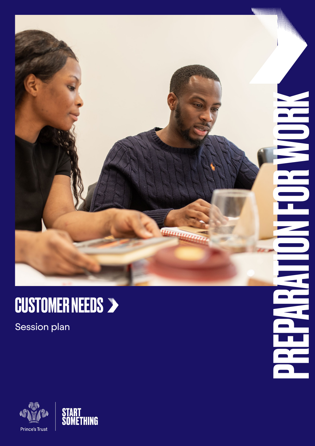

HELLE

### CUSTOMER NEEDS

Session plan



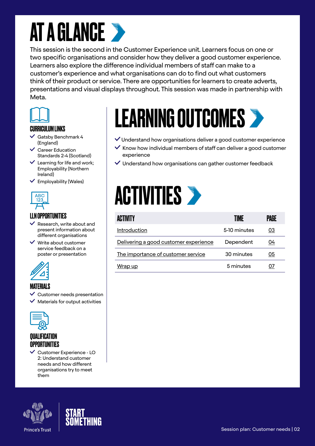### **AT A GLANCE >**

This session is the second in the Customer Experience unit. Learners focus on one or two specific organisations and consider how they deliver a good customer experience. Learners also explore the difference individual members of staff can make to a customer's experience and what organisations can do to find out what customers think of their product or service. There are opportunities for learners to create adverts, presentations and visual displays throughout. This session was made in partnership with Meta.



#### CURRICULUM LINKS

- $\checkmark$  Gatsby Benchmark 4 (England)
- Career Education Standards 2-4 (Scotland)
- $\vee$  Learning for life and work; Employability (Northern Ireland)
- $\checkmark$  Employability (Wales)



#### LLN OPPORTUNITIES

- $\vee$  Research, write about and present information about different organisations
- $\vee$  Write about customer service feedback on a poster or presentation



#### MATERIALS

- $\checkmark$  Customer needs presentation
- Materials for output activities



### QUALIFICATION **OPPORTUNITIES**

 Customer Experience - LO 2: Understand customer needs and how different organisations try to meet them





# LEARNING OUTCOMES

- $\vee$  Understand how organisations deliver a good customer experience
- $\checkmark$  Know how individual members of staff can deliver a good customer experience
- $\vee$  Understand how organisations can gather customer feedback

### **ACTIVITIES >**

| ACTIVITY                              | TIME         | PAGE |
|---------------------------------------|--------------|------|
| Introduction                          | 5-10 minutes | 03   |
| Delivering a good customer experience | Dependent    | 04   |
| The importance of customer service    | 30 minutes   | 05   |
| Wrap up                               | 5 minutes    |      |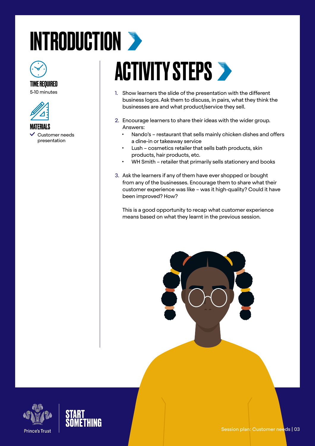# <span id="page-2-0"></span>INTRODUCTION >



### TIME REQUIRED

5-10 minutes





### **ACTIVITY STEPS >**

- 1. Show learners the slide of the presentation with the different business logos. Ask them to discuss, in pairs, what they think the businesses are and what product/service they sell.
- 2. Encourage learners to share their ideas with the wider group. Answers:
	- Nando's restaurant that sells mainly chicken dishes and offers a dine-in or takeaway service
	- Lush cosmetics retailer that sells bath products, skin products, hair products, etc.
	- WH Smith retailer that primarily sells stationery and books
- 3. Ask the learners if any of them have ever shopped or bought from any of the businesses. Encourage them to share what their customer experience was like – was it high-quality? Could it have been improved? How?

This is a good opportunity to recap what customer experience means based on what they learnt in the previous session.





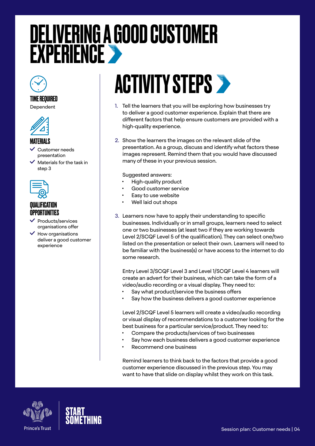### <span id="page-3-0"></span>DELIVERING A GOOD CUSTOMER **EXPERIENCE**

#### TIME REQUIRED

Dependent



#### **MATFRIALS**

- Customer needs presentation
- Materials for the task in step 3



#### **QUALIFICATION** OPPORTUNITIES

- Products/services organisations offer
- $\checkmark$  How organisations deliver a good customer experience

## **ACTIVITY STEPS >**

- 1. Tell the learners that you will be exploring how businesses try to deliver a good customer experience. Explain that there are different factors that help ensure customers are provided with a high-quality experience.
- 2. Show the learners the images on the relevant slide of the presentation. As a group, discuss and identify what factors these images represent. Remind them that you would have discussed many of these in your previous session.

Suggested answers:

- High-quality product
- Good customer service
- Easy to use website
- Well laid out shops
- 3. Learners now have to apply their understanding to specific businesses. Individually or in small groups, learners need to select one or two businesses (at least two if they are working towards Level 2/SCQF Level 5 of the qualification). They can select one/two listed on the presentation or select their own. Learners will need to be familiar with the business(s) or have access to the internet to do some research.

Entry Level 3/SCQF Level 3 and Level 1/SCQF Level 4 learners will create an advert for their business, which can take the form of a video/audio recording or a visual display. They need to:

- Say what product/service the business offers
- Say how the business delivers a good customer experience

Level 2/SCQF Level 5 learners will create a video/audio recording or visual display of recommendations to a customer looking for the best business for a particular service/product. They need to:

- Compare the products/services of two businesses
- Say how each business delivers a good customer experience
- Recommend one business

Remind learners to think back to the factors that provide a good customer experience discussed in the previous step. You may want to have that slide on display whilst they work on this task.



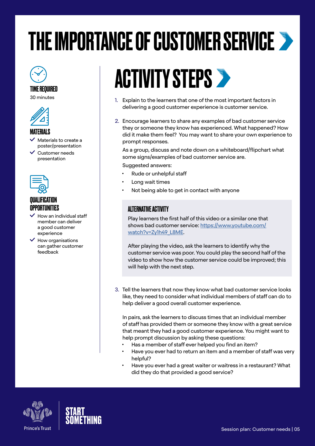## <span id="page-4-0"></span>THE IMPORTANCE OF CUSTOMER SERVICE

#### TIME REQUIRED

30 minutes



#### MATERIALS

- Materials to create a poster/presentation
- Customer needs presentation



#### **OIIAI IFICATION OPPORTUNITIES**

- $\dot{ }$  How an individual staff member can deliver a good customer experience
- $\checkmark$  How organisations can gather customer feedback

## **ACTIVITY STEPS >**

- 1. Explain to the learners that one of the most important factors in delivering a good customer experience is customer service.
- 2. Encourage learners to share any examples of bad customer service they or someone they know has experienced. What happened? How did it make them feel? You may want to share your own experience to prompt responses.

As a group, discuss and note down on a whiteboard/flipchart what some signs/examples of bad customer service are.

#### Suggested answers:

- Rude or unhelpful staff
- Long wait times
- Not being able to get in contact with anyone

#### ALTERNATIVE ACTIVITY

Play learners the first half of this video or a similar one that shows bad customer service: [https://www.youtube.com/](https://www.youtube.com/watch?v=Zy1h49_L8ME) [watch?v=Zy1h49\\_L8ME](https://www.youtube.com/watch?v=Zy1h49_L8ME).

After playing the video, ask the learners to identify why the customer service was poor. You could play the second half of the video to show how the customer service could be improved; this will help with the next step.

3. Tell the learners that now they know what bad customer service looks like, they need to consider what individual members of staff can do to help deliver a good overall customer experience.

In pairs, ask the learners to discuss times that an individual member of staff has provided them or someone they know with a great service that meant they had a good customer experience. You might want to help prompt discussion by asking these questions:

- Has a member of staff ever helped you find an item?
- Have you ever had to return an item and a member of staff was very helpful?
- Have you ever had a great waiter or waitress in a restaurant? What did they do that provided a good service?



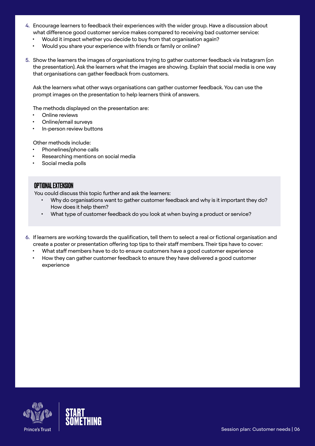- 4. Encourage learners to feedback their experiences with the wider group. Have a discussion about what difference good customer service makes compared to receiving bad customer service:
	- Would it impact whether you decide to buy from that organisation again?
	- Would you share your experience with friends or family or online?
- 5. Show the learners the images of organisations trying to gather customer feedback via Instagram (on the presentation). Ask the learners what the images are showing. Explain that social media is one way that organisations can gather feedback from customers.

Ask the learners what other ways organisations can gather customer feedback. You can use the prompt images on the presentation to help learners think of answers.

The methods displayed on the presentation are:

- **Online reviews**
- Online/email surveys
- In-person review buttons

Other methods include:

- Phonelines/phone calls
- Researching mentions on social media
- Social media polls

#### OPTIONAL EXTENSION

You could discuss this topic further and ask the learners:

- Why do organisations want to gather customer feedback and why is it important they do? How does it help them?
- What type of customer feedback do you look at when buying a product or service?
- 6. If learners are working towards the qualification, tell them to select a real or fictional organisation and create a poster or presentation offering top tips to their staff members. Their tips have to cover:
	- What staff members have to do to ensure customers have a good customer experience
	- How they can gather customer feedback to ensure they have delivered a good customer experience